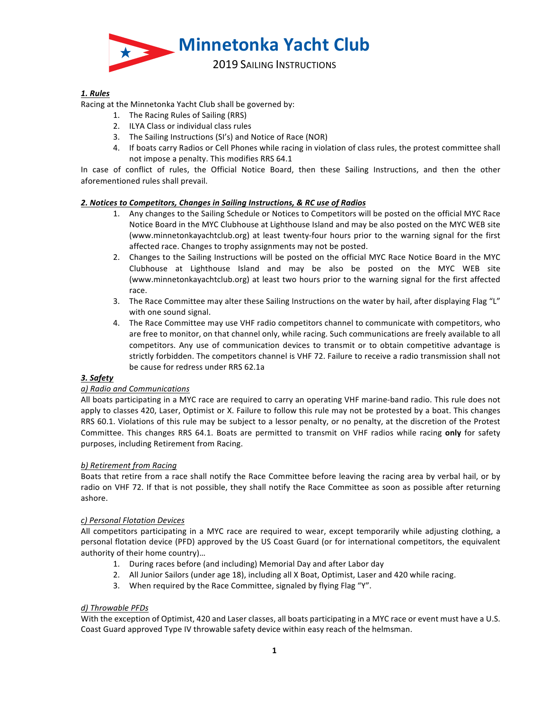

# *1. Rules*

Racing at the Minnetonka Yacht Club shall be governed by:

- 1. The Racing Rules of Sailing (RRS)
- 2. ILYA Class or individual class rules
- 3. The Sailing Instructions (SI's) and Notice of Race (NOR)
- 4. If boats carry Radios or Cell Phones while racing in violation of class rules, the protest committee shall not impose a penalty. This modifies RRS 64.1

In case of conflict of rules, the Official Notice Board, then these Sailing Instructions, and then the other aforementioned rules shall prevail.

### 2. Notices to Competitors, Changes in Sailing Instructions, & RC use of Radios

- 1. Any changes to the Sailing Schedule or Notices to Competitors will be posted on the official MYC Race Notice Board in the MYC Clubhouse at Lighthouse Island and may be also posted on the MYC WEB site (www.minnetonkayachtclub.org) at least twenty-four hours prior to the warning signal for the first affected race. Changes to trophy assignments may not be posted.
- 2. Changes to the Sailing Instructions will be posted on the official MYC Race Notice Board in the MYC Clubhouse at Lighthouse Island and may be also be posted on the MYC WEB site (www.minnetonkayachtclub.org) at least two hours prior to the warning signal for the first affected race.
- 3. The Race Committee may alter these Sailing Instructions on the water by hail, after displaying Flag "L" with one sound signal.
- 4. The Race Committee may use VHF radio competitors channel to communicate with competitors, who are free to monitor, on that channel only, while racing. Such communications are freely available to all competitors. Any use of communication devices to transmit or to obtain competitive advantage is strictly forbidden. The competitors channel is VHF 72. Failure to receive a radio transmission shall not be cause for redress under RRS 62.1a

### *3. Safety*

# *a) Radio and Communications*

All boats participating in a MYC race are required to carry an operating VHF marine-band radio. This rule does not apply to classes 420, Laser, Optimist or X. Failure to follow this rule may not be protested by a boat. This changes RRS 60.1. Violations of this rule may be subject to a lessor penalty, or no penalty, at the discretion of the Protest Committee. This changes RRS 64.1. Boats are permitted to transmit on VHF radios while racing only for safety purposes, including Retirement from Racing.

### *b) Retirement from Racing*

Boats that retire from a race shall notify the Race Committee before leaving the racing area by verbal hail, or by radio on VHF 72. If that is not possible, they shall notify the Race Committee as soon as possible after returning ashore.

### *c) Personal Flotation Devices*

All competitors participating in a MYC race are required to wear, except temporarily while adjusting clothing, a personal flotation device (PFD) approved by the US Coast Guard (or for international competitors, the equivalent authority of their home country)...

- 1. During races before (and including) Memorial Day and after Labor day
- 2. All Junior Sailors (under age 18), including all X Boat, Optimist, Laser and 420 while racing.
- 3. When required by the Race Committee, signaled by flying Flag "Y".

# *d) Throwable PFDs*

With the exception of Optimist, 420 and Laser classes, all boats participating in a MYC race or event must have a U.S. Coast Guard approved Type IV throwable safety device within easy reach of the helmsman.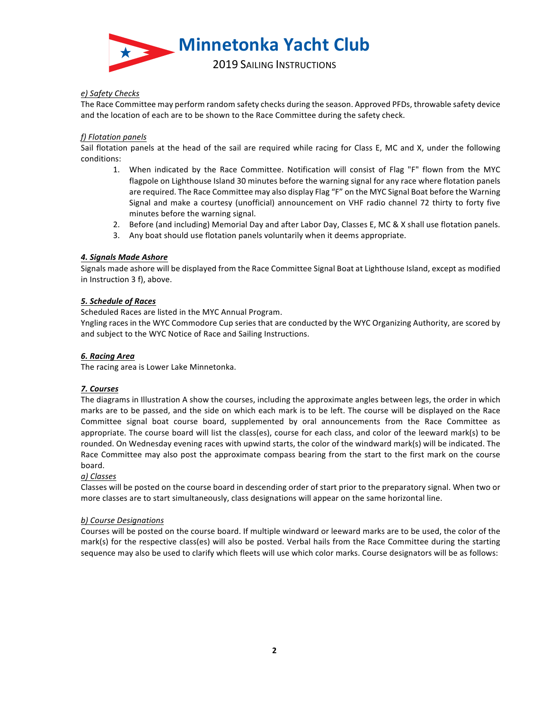

# *e) Safety Checks*

The Race Committee may perform random safety checks during the season. Approved PFDs, throwable safety device and the location of each are to be shown to the Race Committee during the safety check.

# *f) Flotation panels*

Sail flotation panels at the head of the sail are required while racing for Class E, MC and X, under the following conditions:

- 1. When indicated by the Race Committee. Notification will consist of Flag "F" flown from the MYC flagpole on Lighthouse Island 30 minutes before the warning signal for any race where flotation panels are required. The Race Committee may also display Flag "F" on the MYC Signal Boat before the Warning Signal and make a courtesy (unofficial) announcement on VHF radio channel 72 thirty to forty five minutes before the warning signal.
- 2. Before (and including) Memorial Day and after Labor Day, Classes E, MC & X shall use flotation panels.
- 3. Any boat should use flotation panels voluntarily when it deems appropriate.

### *4. Signals Made Ashore*

Signals made ashore will be displayed from the Race Committee Signal Boat at Lighthouse Island, except as modified in Instruction 3 f), above.

### *5. Schedule of Races*

Scheduled Races are listed in the MYC Annual Program.

Yngling races in the WYC Commodore Cup series that are conducted by the WYC Organizing Authority, are scored by and subject to the WYC Notice of Race and Sailing Instructions.

# *6. Racing Area*

The racing area is Lower Lake Minnetonka.

### *7. Courses*

The diagrams in Illustration A show the courses, including the approximate angles between legs, the order in which marks are to be passed, and the side on which each mark is to be left. The course will be displayed on the Race Committee signal boat course board, supplemented by oral announcements from the Race Committee as appropriate. The course board will list the class(es), course for each class, and color of the leeward mark(s) to be rounded. On Wednesday evening races with upwind starts, the color of the windward mark(s) will be indicated. The Race Committee may also post the approximate compass bearing from the start to the first mark on the course board.

# *a) Classes*

Classes will be posted on the course board in descending order of start prior to the preparatory signal. When two or more classes are to start simultaneously, class designations will appear on the same horizontal line.

### *b) Course Designations*

Courses will be posted on the course board. If multiple windward or leeward marks are to be used, the color of the mark(s) for the respective class(es) will also be posted. Verbal hails from the Race Committee during the starting sequence may also be used to clarify which fleets will use which color marks. Course designators will be as follows: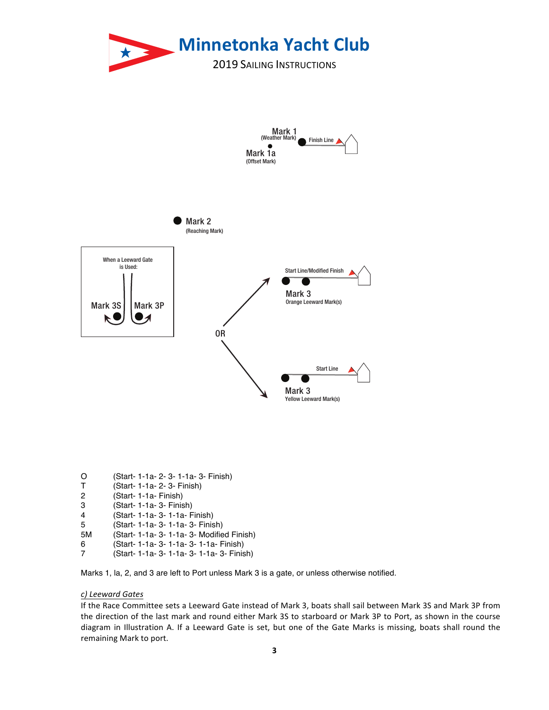

| O | (Start- 1-1a- 2- 3- 1-1a- 3- Finish) |  |  |  |  |  |  |
|---|--------------------------------------|--|--|--|--|--|--|
|---|--------------------------------------|--|--|--|--|--|--|

- T (Start- 1-1a- 2- 3- Finish)
- 
- 2 (Start- 1-1a- Finish) (Start- 1-1a- 3- Finish)
- 4 (Start- 1-1a- 3- 1-1a- Finish)
- 5 (Start- 1-1a- 3- 1-1a- 3- Finish)
- 5M (Start- 1-1a- 3- 1-1a- 3- Modified Finish)
- 6 (Start- 1-1a- 3- 1-1a- 3- 1-1a- Finish)
- 7 (Start- 1-1a- 3- 1-1a- 3- 1-1a- 3- Finish)

Marks 1, la, 2, and 3 are left to Port unless Mark 3 is a gate, or unless otherwise notified.

# *c) Leeward Gates*

If the Race Committee sets a Leeward Gate instead of Mark 3, boats shall sail between Mark 3S and Mark 3P from the direction of the last mark and round either Mark 3S to starboard or Mark 3P to Port, as shown in the course diagram in Illustration A. If a Leeward Gate is set, but one of the Gate Marks is missing, boats shall round the remaining Mark to port.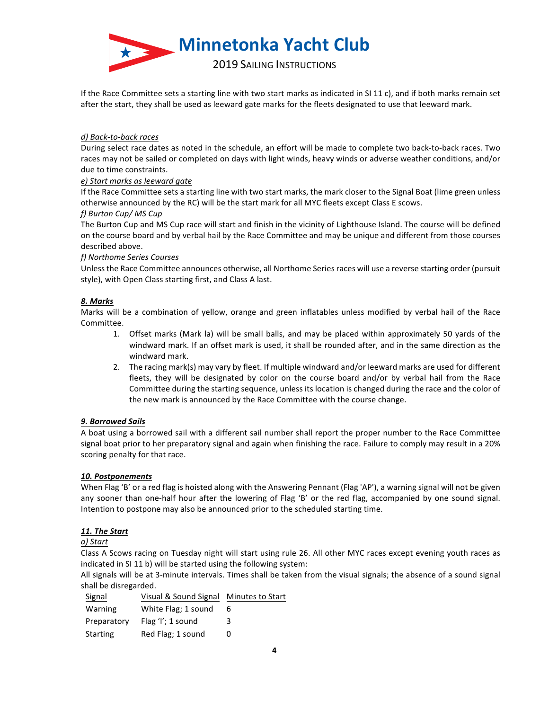

If the Race Committee sets a starting line with two start marks as indicated in SI 11 c), and if both marks remain set after the start, they shall be used as leeward gate marks for the fleets designated to use that leeward mark.

### *d) Back-to-back races*

During select race dates as noted in the schedule, an effort will be made to complete two back-to-back races. Two races may not be sailed or completed on days with light winds, heavy winds or adverse weather conditions, and/or due to time constraints.

# *e) Start marks as leeward gate*

If the Race Committee sets a starting line with two start marks, the mark closer to the Signal Boat (lime green unless otherwise announced by the RC) will be the start mark for all MYC fleets except Class E scows.

### *f) Burton Cup/ MS Cup*

The Burton Cup and MS Cup race will start and finish in the vicinity of Lighthouse Island. The course will be defined on the course board and by verbal hail by the Race Committee and may be unique and different from those courses described above.

### *f) Northome Series Courses*

Unless the Race Committee announces otherwise, all Northome Series races will use a reverse starting order (pursuit style), with Open Class starting first, and Class A last.

# *8. Marks*

Marks will be a combination of yellow, orange and green inflatables unless modified by verbal hail of the Race Committee.

- 1. Offset marks (Mark la) will be small balls, and may be placed within approximately 50 yards of the windward mark. If an offset mark is used, it shall be rounded after, and in the same direction as the windward mark.
- 2. The racing mark(s) may vary by fleet. If multiple windward and/or leeward marks are used for different fleets, they will be designated by color on the course board and/or by verbal hail from the Race Committee during the starting sequence, unless its location is changed during the race and the color of the new mark is announced by the Race Committee with the course change.

# *9. Borrowed Sails*

A boat using a borrowed sail with a different sail number shall report the proper number to the Race Committee signal boat prior to her preparatory signal and again when finishing the race. Failure to comply may result in a 20% scoring penalty for that race.

### *10. Postponements*

When Flag 'B' or a red flag is hoisted along with the Answering Pennant (Flag 'AP'), a warning signal will not be given any sooner than one-half hour after the lowering of Flag 'B' or the red flag, accompanied by one sound signal. Intention to postpone may also be announced prior to the scheduled starting time.

# *11. The Start*

# *a) Start*

Class A Scows racing on Tuesday night will start using rule 26. All other MYC races except evening youth races as indicated in SI 11 b) will be started using the following system:

All signals will be at 3-minute intervals. Times shall be taken from the visual signals; the absence of a sound signal shall be disregarded.

| Signal      | Visual & Sound Signal Minutes to Start |   |
|-------------|----------------------------------------|---|
| Warning     | White Flag; 1 sound                    | 6 |
| Preparatory | Flag 'I'; 1 sound                      | 3 |
| Starting    | Red Flag; 1 sound                      | O |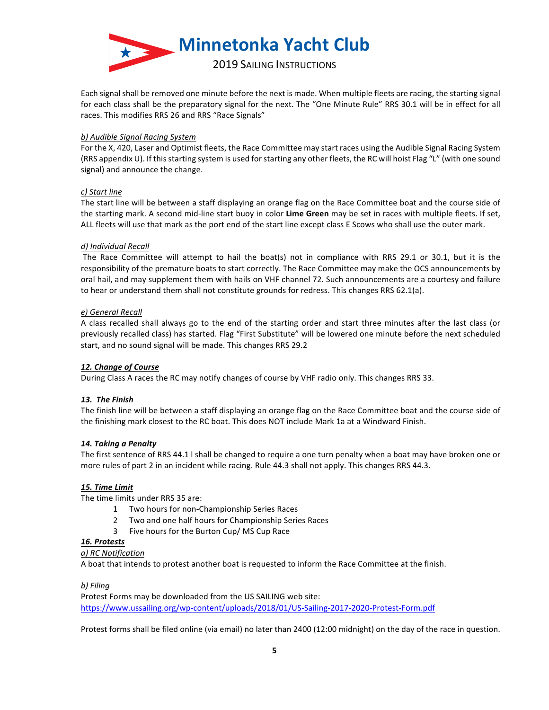

Each signal shall be removed one minute before the next is made. When multiple fleets are racing, the starting signal for each class shall be the preparatory signal for the next. The "One Minute Rule" RRS 30.1 will be in effect for all races. This modifies RRS 26 and RRS "Race Signals"

### *b) Audible Signal Racing System*

For the X, 420, Laser and Optimist fleets, the Race Committee may start races using the Audible Signal Racing System (RRS appendix U). If this starting system is used for starting any other fleets, the RC will hoist Flag "L" (with one sound signal) and announce the change.

# *c) Start line*

The start line will be between a staff displaying an orange flag on the Race Committee boat and the course side of the starting mark. A second mid-line start buoy in color Lime Green may be set in races with multiple fleets. If set, ALL fleets will use that mark as the port end of the start line except class E Scows who shall use the outer mark.

### *d) Individual Recall*

The Race Committee will attempt to hail the boat(s) not in compliance with RRS 29.1 or 30.1, but it is the responsibility of the premature boats to start correctly. The Race Committee may make the OCS announcements by oral hail, and may supplement them with hails on VHF channel 72. Such announcements are a courtesy and failure to hear or understand them shall not constitute grounds for redress. This changes RRS 62.1(a).

### *e) General Recall*

A class recalled shall always go to the end of the starting order and start three minutes after the last class (or previously recalled class) has started. Flag "First Substitute" will be lowered one minute before the next scheduled start, and no sound signal will be made. This changes RRS 29.2

# *12. Change of Course*

During Class A races the RC may notify changes of course by VHF radio only. This changes RRS 33.

# *13. The Finish*

The finish line will be between a staff displaying an orange flag on the Race Committee boat and the course side of the finishing mark closest to the RC boat. This does NOT include Mark 1a at a Windward Finish.

### **14. Taking a Penalty**

The first sentence of RRS 44.1 I shall be changed to require a one turn penalty when a boat may have broken one or more rules of part 2 in an incident while racing. Rule 44.3 shall not apply. This changes RRS 44.3.

### *15. Time Limit*

The time limits under RRS 35 are:

- 1 Two hours for non-Championship Series Races
- 2 Two and one half hours for Championship Series Races
- 3 Five hours for the Burton Cup/ MS Cup Race

### *16. Protests*

### *a) RC Notification*

A boat that intends to protest another boat is requested to inform the Race Committee at the finish.

### *b) Filing*

Protest Forms may be downloaded from the US SAILING web site: https://www.ussailing.org/wp-content/uploads/2018/01/US-Sailing-2017-2020-Protest-Form.pdf

Protest forms shall be filed online (via email) no later than 2400 (12:00 midnight) on the day of the race in question.